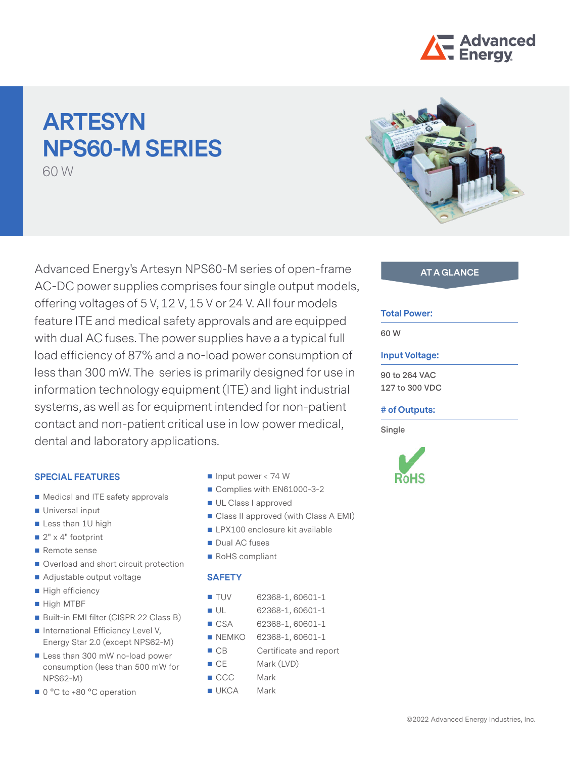

# **ARTESYN NPS60-M SERIES**

60 W

Advanced Energy's Artesyn NPS60-M series of open-frame AC-DC power supplies comprises four single output models, offering voltages of 5 V, 12 V, 15 V or 24 V. All four models feature ITE and medical safety approvals and are equipped with dual AC fuses. The power supplies have a a typical full load efficiency of 87% and a no-load power consumption of less than 300 mW. The series is primarily designed for use in information technology equipment (ITE) and light industrial systems, as well as for equipment intended for non-patient contact and non-patient critical use in low power medical, dental and laboratory applications.

### **SPECIAL FEATURES**

- Medical and ITE safety approvals
- **Universal input**
- Less than 1U high
- $2" \times 4"$  footprint
- Remote sense
- Overload and short circuit protection
- Adjustable output voltage
- High efficiency
- High MTBF
- Built-in EMI filter (CISPR 22 Class B)
- International Efficiency Level V, Energy Star 2.0 (except NPS62-M)
- Less than 300 mW no-load power consumption (less than 500 mW for NPS62-M)
- 0 °C to +80 °C operation
- Input power  $< 74 W$
- Complies with EN61000-3-2
- UL Class I approved
- Class II approved (with Class A EMI)
- **LPX100** enclosure kit available
- Dual AC fuses
- RoHS compliant

## **SAFETY**

- TUV 62368-1, 60601-1
- UL 62368-1, 60601-1
- CSA 62368-1, 60601-1
- NEMKO 62368-1, 60601-1
- CB Certificate and report
- CE Mark (LVD)
- CCC Mark
- UKCA Mark



## **AT A GLANCE**

## **Total Power:**

**60 W**

## **Input Voltage:**

**90 to 264 VAC 127 to 300 VDC**

### **# of Outputs:**

**Single**

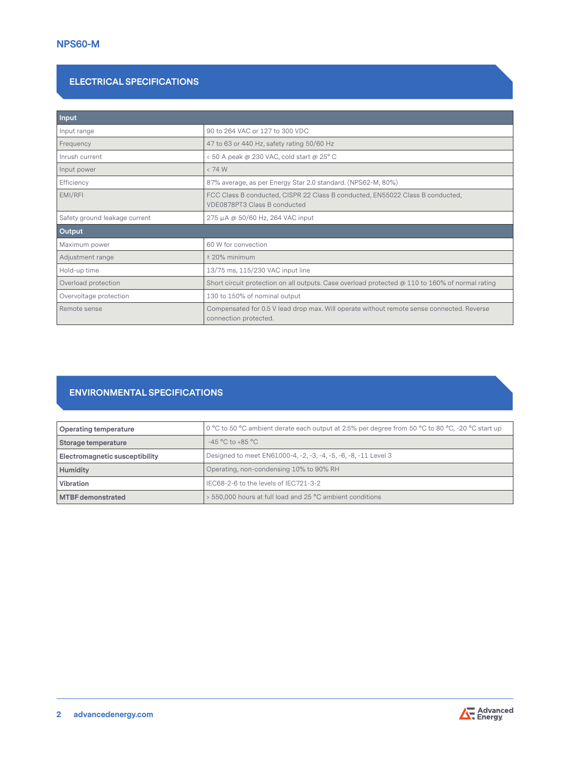# **ELECTRICAL SPECIFICATIONS**

| <b>Input</b>                  |                                                                                                                    |  |
|-------------------------------|--------------------------------------------------------------------------------------------------------------------|--|
| Input range                   | 90 to 264 VAC or 127 to 300 VDC                                                                                    |  |
| Frequency                     | 47 to 63 or 440 Hz, safety rating 50/60 Hz                                                                         |  |
| Inrush current                | < 50 A peak @ 230 VAC, cold start @ 25° C                                                                          |  |
| Input power                   | < 74 W                                                                                                             |  |
| Efficiency                    | 87% average, as per Energy Star 2.0 standard. (NPS62-M, 80%)                                                       |  |
| EMI/RFI                       | FCC Class B conducted, CISPR 22 Class B conducted, EN55022 Class B conducted,<br>VDE0878PT3 Class B conducted      |  |
| Safety ground leakage current | 275 µA @ 50/60 Hz, 264 VAC input                                                                                   |  |
| Output                        |                                                                                                                    |  |
| Maximum power                 | 60 W for convection                                                                                                |  |
| Adjustment range              | $±$ 20% minimum                                                                                                    |  |
| Hold-up time                  | 13/75 ms, 115/230 VAC input line                                                                                   |  |
| Overload protection           | Short circuit protection on all outputs. Case overload protected $@110$ to 160% of normal rating                   |  |
| Overvoltage protection        | 130 to 150% of nominal output                                                                                      |  |
| Remote sense                  | Compensated for 0.5 V lead drop max. Will operate without remote sense connected. Reverse<br>connection protected. |  |

# **ENVIRONMENTAL SPECIFICATIONS**

| Operating temperature          | 0 °C to 50 °C ambient derate each output at 2.5% per degree from 50 °C to 80 °C, -20 °C start up |
|--------------------------------|--------------------------------------------------------------------------------------------------|
| Storage temperature            | $-45\,^{\circ}\mathrm{C}$ to $+85\,^{\circ}\mathrm{C}$                                           |
| Electromagnetic susceptibility | Designed to meet EN61000-4, -2, -3, -4, -5, -6, -8, -11 Level 3                                  |
| <b>Humidity</b>                | Operating, non-condensing 10% to 90% RH                                                          |
| Vibration                      | IEC68-2-6 to the levels of IEC721-3-2                                                            |
| <b>MTBF</b> demonstrated       | > 550,000 hours at full load and 25 °C ambient conditions                                        |

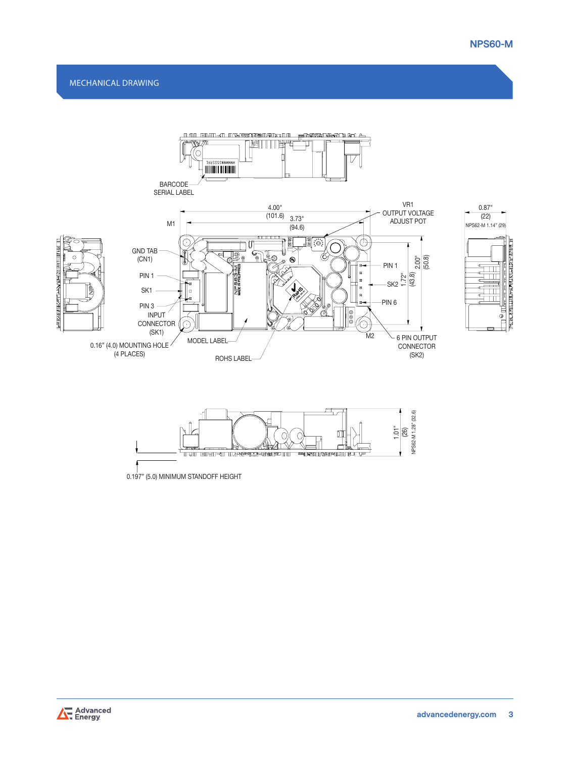





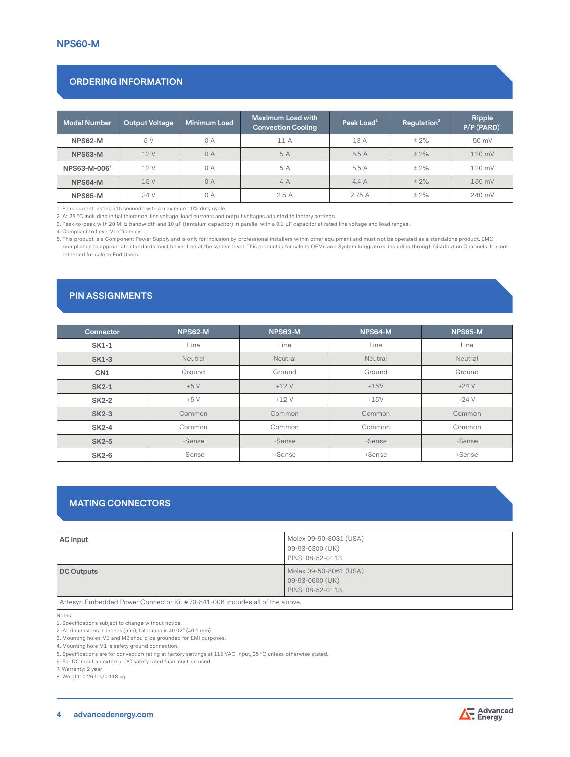# **ORDERING INFORMATION**

| <b>Model Number</b> | <b>Output Voltage</b> | Minimum Load | <b>Maximum Load with</b><br><b>Convection Cooling</b> | Peak Load $1$ | Regulation <sup>2</sup> | Ripple<br>$P/P(PARD)^3$ |
|---------------------|-----------------------|--------------|-------------------------------------------------------|---------------|-------------------------|-------------------------|
| NPS62-M             | 5 V                   | 0A           | 11 A                                                  | 13 A          | $± 2\%$                 | 50 mV                   |
| NPS63-M             | 12V                   | 0A           | 5 A                                                   | 5.5A          | $± 2\%$                 | 120 mV                  |
| NPS63-M-0064        | 12 V                  | 0A           | 5 A                                                   | 5.5 A         | $± 2\%$                 | 120 mV                  |
| NPS64-M             | 15V                   | 0A           | 4A                                                    | 4.4A          | $± 2\%$                 | 150 mV                  |
| NPS65-M             | 24 V                  | 0 A          | 2.5A                                                  | 2.75 A        | $± 2\%$                 | 240 mV                  |

1. Peak current lasting <15 seconds with a maximum 10% duty cycle.

2. At 25 °C including initial tolerance, line voltage, load currents and output voltages adjusted to factory settings.

3. Peak-to-peak with 20 MHz bandwidth and 10 µF (tantalum capacitor) in parallel with a 0.1 µF capacitor at rated line voltage and load ranges.

4. Compliant to Level VI efficiency.

5. This product is a Component Power Supply and is only for inclusion by professional installers within other equipment and must not be operated as a standalone product. EMC compliance to appropriate standards must be verified at the system level. This product is for sale to OEMs and System Integrators, including through Distribution Channels. It is not intended for sale to End Users.

# **PIN ASSIGNMENTS**

| <b>Connector</b> | <b>NPS62-M</b> | <b>NPS63-M</b> | NPS64-M | NPS65-M |
|------------------|----------------|----------------|---------|---------|
| <b>SK1-1</b>     | Line           | Line           | Line    | Line    |
| <b>SK1-3</b>     | Neutral        | Neutral        | Neutral | Neutral |
| CN <sub>1</sub>  | Ground         | Ground         | Ground  | Ground  |
| $SK2-1$          | $+5V$          | $+12V$         | $+15V$  | $+24V$  |
| <b>SK2-2</b>     | $+5V$          | $+12V$         | $+15V$  | $+24V$  |
| <b>SK2-3</b>     | Common         | Common         | Common  | Common  |
| $SK2-4$          | Common         | Common         | Common  | Common  |
| <b>SK2-5</b>     | -Sense         | -Sense         | -Sense  | -Sense  |
| <b>SK2-6</b>     | +Sense         | +Sense         | +Sense  | +Sense  |

## **MATING CONNECTORS**

| <b>AC</b> Input   | Molex 09-50-8031 (USA)<br>09-93-0300 (UK)<br>PINS: 08-52-0113 |
|-------------------|---------------------------------------------------------------|
| <b>DC Outputs</b> | Molex 09-50-8061 (USA)<br>09-93-0600 (UK)<br>PINS: 08-52-0113 |

Artesyn Embedded Power Connector Kit #70-841-006 includes all of the above.

Notes:

1. Specifications subject to change without notice.

2. All dimensions in inches (mm), tolerance is ±0.02" (±0.5 mm)

3. Mounting holes M1 and M2 should be grounded for EMI purposes.

4. Mounting hole M1 is safety ground connection.

5. Specifications are for convection rating at factory settings at 115 VAC input, 25 °C unless otherwise stated.

6. For DC input an external DC safety rated fuse must be used

7. Warranty: 2 year

8. Weight: 0.26 lbs/0.118 kg